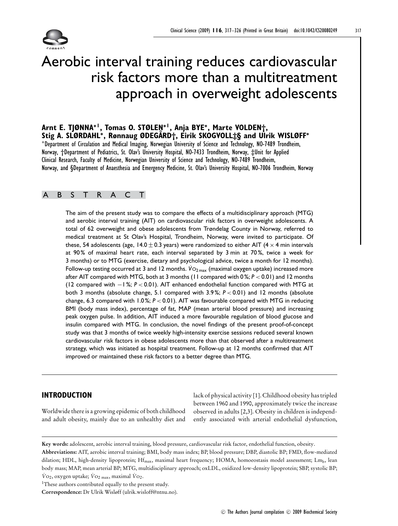

# Aerobic interval training reduces cardiovascular risk factors more than a multitreatment approach in overweight adolescents

**Arnt E. TJØNNA∗<sup>1</sup>, Tomas O. STØLEN∗<sup>1</sup>, Anja BYE∗, Marte VOLDEN†, Stig A. SLØRDAHL∗, Rønnaug ØDEGA◦ RD†, Eirik SKOGVOLL‡§ and Ulrik WISLØFF<sup>∗</sup>** <sup>∗</sup>Department of Circulation and Medical Imaging, Norwegian University of Science and Technology, NO-7489 Trondheim, Norway, †Department of Pediatrics, St. Olav's University Hospital, NO-7433 Trondheim, Norway, ‡Unit for Applied Clinical Research, Faculty of Medicine, Norwegian University of Science and Technology, NO-7489 Trondheim, Norway, and §Department of Anaesthesia and Emergency Medicine, St. Olav's University Hospital, NO-7006 Trondheim, Norway

# ABSTRACT

The aim of the present study was to compare the effects of a multidisciplinary approach (MTG) and aerobic interval training (AIT) on cardiovascular risk factors in overweight adolescents. A total of 62 overweight and obese adolescents from Trøndelag County in Norway, referred to medical treatment at St Olav's Hospital, Trondheim, Norway, were invited to participate. Of these, 54 adolescents (age, 14.0  $\pm$  0.3 years) were randomized to either AIT (4  $\times$  4 min intervals at 90% of maximal heart rate, each interval separated by 3 min at 70%, twice a week for 3 months) or to MTG (exercise, dietary and psychological advice, twice a month for 12 months). Follow-up testing occurred at 3 and 12 months.  $\dot{V}$ O<sub>2 max</sub> (maximal oxygen uptake) increased more after AIT compared with MTG, both at 3 months (11 compared with 0 %; *P* < 0.01) and 12 months (12 compared with −1 %; *P* < 0.01). AIT enhanced endothelial function compared with MTG at both 3 months (absolute change, 5.1 compared with 3.9 %; *P* < 0.01) and 12 months (absolute change, 6.3 compared with 1.0 %; *P* < 0.01). AIT was favourable compared with MTG in reducing BMI (body mass index), percentage of fat, MAP (mean arterial blood pressure) and increasing peak oxygen pulse. In addition, AIT induced a more favourable regulation of blood glucose and insulin compared with MTG. In conclusion, the novel findings of the present proof-of-concept study was that 3 months of twice weekly high-intensity exercise sessions reduced several known cardiovascular risk factors in obese adolescents more than that observed after a multitreatment strategy, which was initiated as hospital treatment. Follow-up at 12 months confirmed that AIT improved or maintained these risk factors to a better degree than MTG.

# **INTRODUCTION**

Worldwide there is a growing epidemic of both childhood and adult obesity, mainly due to an unhealthy diet and lack of physical activity [1]. Childhood obesity has tripled between 1960 and 1990, approximately twice the increase observed in adults [2,3]. Obesity in children is independently associated with arterial endothelial dysfunction,

**Key words:** adolescent, aerobic interval training, blood pressure, cardiovascular risk factor, endothelial function, obesity.

**Abbreviations:** AIT, aerobic interval training; BMI, body mass index; BP, blood pressure; DBP, diastolic BP; FMD, flow-mediated dilation; HDL, high-density lipoprotein; Hf<sub>max</sub>, maximal heart frequency; HOMA, homoeostasis model assessment; Lm<sub>b</sub>, lean body mass; MAP, mean arterial BP; MTG, multidisciplinary approach; oxLDL, oxidized low-density lipoprotein; SBP, systolic BP;  $\dot{V}$ O<sub>2</sub>, oxygen uptake;  $\dot{V}$ O<sub>2 max</sub>, maximal  $\dot{V}$ O<sub>2</sub>.

<sup>&</sup>lt;sup>1</sup>These authors contributed equally to the present study.

**Correspondence:** Dr Ulrik Wisløff (ulrik.wisloff@ntnu.no).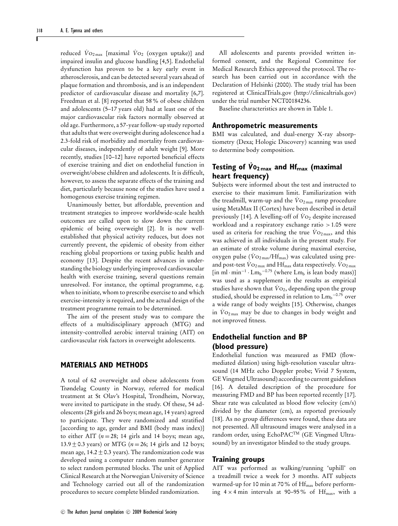reduced  $\dot{V}$ <sub>O2 max</sub> [maximal  $\dot{V}$ <sub>O2</sub> (oxygen uptake)] and impaired insulin and glucose handling [4,5]. Endothelial dysfunction has proven to be a key early event in atherosclerosis, and can be detected several years ahead of plaque formation and thrombosis, and is an independent predictor of cardiovascular disease and mortality [6,7]. Freedman et al. [8] reported that 58% of obese children and adolescents (5–17 years old) had at least one of the major cardiovascular risk factors normally observed at old age. Furthermore, a 57-year follow-up study reported that adults that were overweight during adolescence had a 2.3-fold risk of morbidity and mortality from cardiovascular diseases, independently of adult weight [9]. More recently, studies [10–12] have reported beneficial effects of exercise training and diet on endothelial function in overweight/obese children and adolescents. It is difficult, however, to assess the separate effects of the training and diet, particularly because none of the studies have used a homogenous exercise training regimen.

Unanimously better, but affordable, prevention and treatment strategies to improve worldwide-scale health outcomes are called upon to slow down the current epidemic of being overweight [2]. It is now wellestablished that physical activity reduces, but does not currently prevent, the epidemic of obesity from either reaching global proportions or taxing public health and economy [13]. Despite the recent advances in understanding the biology underlying improved cardiovascular health with exercise training, several questions remain unresolved. For instance, the optimal programme, e.g. when to initiate, whom to prescribe exercise to and which exercise-intensity is required, and the actual design of the treatment programme remain to be determined.

The aim of the present study was to compare the effects of a multidisciplinary approach (MTG) and intensity-controlled aerobic interval training (AIT) on cardiovascular risk factors in overweight adolescents.

#### **MATERIALS AND METHODS**

A total of 62 overweight and obese adolescents from Trøndelag County in Norway, referred for medical treatment at St Olav's Hospital, Trondheim, Norway, were invited to participate in the study. Of these, 54 adolescents (28 girls and 26 boys; mean age, 14 years) agreed to participate. They were randomized and stratified [according to age, gender and BMI (body mass index)] to either AIT ( $n = 28$ ; 14 girls and 14 boys; mean age, 13.9 +− 0.3 years) or MTG (*<sup>n</sup>* <sup>=</sup> 26; 14 girls and 12 boys; mean age,  $14.2 \pm 0.3$  years). The randomization code was developed using a computer random number generator to select random permuted blocks. The unit of Applied Clinical Research at the Norwegian University of Science and Technology carried out all of the randomization procedures to secure complete blinded randomization.

All adolescents and parents provided written informed consent, and the Regional Committee for Medical Research Ethics approved the protocol. The research has been carried out in accordance with the Declaration of Helsinki (2000). The study trial has been registered at ClinicalTrials.gov (http://clinicaltrials.gov) under the trial number NCT00184236.

Baseline characteristics are shown in Table 1.

#### **Anthropometric measurements**

BMI was calculated, and dual-energy X-ray absorptiometry (Dexa; Hologic Discovery) scanning was used to determine body composition.

# **Testing of** *V***˙O2 max and Hfmax (maximal heart frequency)**

Subjects were informed about the test and instructed to exercise to their maximum limit. Familiarization with the treadmill, warm-up and the  $\dot{V}$ O<sub>2 max</sub> ramp procedure using MetaMax II (Cortex) have been described in detail previously [14]. A levelling-off of  $V_2$  despite increased workload and a respiratory exchange ratio >1.05 were used as criteria for reaching the true  $Vo_{2\text{max}}$ , and this was achieved in all individuals in the present study. For an estimate of stroke volume during maximal exercise, oxygen pulse ( $\rm\dot{Vo}_{2\max}/Hf_{max}$ ) was calculated using preand post-test  $\dot{V}$ O<sub>2 max</sub> and Hf<sub>max</sub> data respectively.  $\dot{V}$ O<sub>2 max</sub>  $[\text{in ml} \cdot \text{min}^{-1} \cdot \text{Lm}_{b}^{-0.75}$  (where  $\text{Lm}_{b}$  is lean body mass)] was used as a supplement in the results as empirical studies have shown that  $\dot{V}o_2$ , depending upon the group studied, should be expressed in relation to  $\text{Lm}_b$ <sup>-0.75</sup> over a wide range of body weights [15]. Otherwise, changes in  $\dot{V}$ <sub>O2 max</sub> may be due to changes in body weight and not improved fitness.

# **Endothelial function and BP (blood pressure)**

Endothelial function was measured as FMD (flowmediated dilation) using high-resolution vascular ultrasound (14 MHz echo Doppler probe; Vivid 7 System, GE Vingmed Ultrasound) according to current guidelines [16]. A detailed description of the procedure for measuring FMD and BP has been reported recently [17]. Shear rate was calculated as blood flow velocity (cm/s) divided by the diameter (cm), as reported previously [18]. As no group differences were found, these data are not presented. All ultrasound images were analysed in a random order, using EchoPACTM (GE Vingmed Ultrasound) by an investigator blinded to the study groups.

#### **Training groups**

AIT was performed as walking/running 'uphill' on a treadmill twice a week for 3 months. AIT subjects warmed-up for 10 min at 70% of  $\rm{Hf_{max}}$  before performing  $4 \times 4$  min intervals at 90–95% of Hf<sub>max</sub>, with a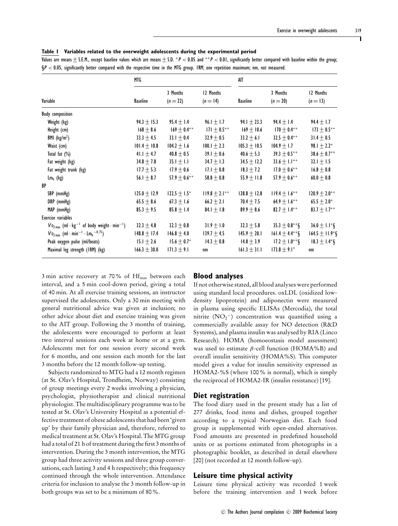|  |  |  | Table I Variables related to the overweight adolescents during the experimental period |  |  |
|--|--|--|----------------------------------------------------------------------------------------|--|--|
|--|--|--|----------------------------------------------------------------------------------------|--|--|

Values are means  $\pm$  S.E.M., except baseline values which are means  $\pm$  S.D. \*P < 0.05 and \*\*P < 0.01, significantly better compared with baseline within the group;  $\S P < 0.05$ , significantly better compared with the respective time in the MTG group. IRM; one repetition maximum; nm, not measured.

|                                                                                               | MTG              |                        |                         | AIT              |                        |                               |
|-----------------------------------------------------------------------------------------------|------------------|------------------------|-------------------------|------------------|------------------------|-------------------------------|
| Variable                                                                                      | <b>Baseline</b>  | 3 Months<br>$(n = 22)$ | 12 Months<br>$(n = 14)$ | <b>Baseline</b>  | 3 Months<br>$(n = 20)$ | 12 Months<br>$(n = 13)$       |
| <b>Body composition</b>                                                                       |                  |                        |                         |                  |                        |                               |
| Weight (kg)                                                                                   | $94.3 \pm 15.3$  | $95.4 \pm 1.4$         | 96.1 $\pm$ 1.7          | 94.1 $\pm$ 23.3  | $94.4 \pm 1.4$         | $94.4 \pm 1.7$                |
| Height (cm)                                                                                   | $168 \pm 8.6$    | $169 \pm 0.4***$       | $171 \pm 0.5***$        | $169 + 10.6$     | $170 \pm 0.4***$       | $173 \pm 0.5***$              |
| BMI $(kg/m2)$                                                                                 | $33.3 \pm 4.5$   | 33.1 $\pm$ 0.4         | $32.9 \pm 0.5$          | $33.2 \pm 6.1$   | $32.5 \pm 0.4***$      | $31.4 \pm 0.5$                |
| Waist (cm)                                                                                    | $101.4 \pm 10.8$ | $104.2 \pm 1.6$        | 100.1 $\pm$ 2.3         | $105.3 + 10.5$   | $104.9 + 1.7$          | 98.1 $\pm$ 2.2*               |
| Total fat $(\%)$                                                                              | 41.1 $\pm$ 4.7   | $40.8 \pm 0.5$         | $39.1 \pm 0.6$          | $40.6 \pm 5.3$   | $39.3 \pm 0.5***$      | $38.6 \pm 0.7***$             |
| Fat weight (kg)                                                                               | $34.8 + 7.8$     | $35.1 \pm 1.1$         | 34.7 $\pm$ 1.3          | $34.5 \pm 12.2$  | $33.6 \pm 1.1***$      | 32.1 $\pm$ 1.5                |
| Fat weight trunk (kg)                                                                         | $17.7 \pm 5.3$   | $17.9 \pm 0.6$         | 17.1 $\pm$ 0.8          | $18.3 \pm 7.2$   | $17.0 \pm 0.6***$      | $16.8 \pm 0.8$                |
| $Lm_b$ (kg)                                                                                   | 56.1 $\pm$ 8.7   | $57.9 + 0.6***$        | $58.8 \pm 0.8$          | $55.9 \pm 11.8$  | $57.9 + 0.6***$        | $60.0 \pm 0.8$                |
| BP                                                                                            |                  |                        |                         |                  |                        |                               |
| SBP (mmHg)                                                                                    | $125.0 \pm 12.9$ | $122.5 \pm 1.5^*$      | $119.8 \pm 2.1***$      | $128.8 \pm 12.8$ | $119.4 \pm 1.6***$     | $120.9 \pm 2.0***$            |
| DBP (mmHg)                                                                                    | $65.5 \pm 8.6$   | $67.3 \pm 1.6$         | 66.2 $\pm$ 2.1          | 70.4 $\pm$ 7.5   | 64.9 $\pm$ 1.6**       | $65.5 \pm 2.0*$               |
| MAP (mmHg)                                                                                    | $85.3 \pm 9.5$   | $85.8 \pm 1.4$         | 84.1 $\pm$ 1.8          | $89.9 \pm 8.6$   | 82.7 $\pm$ 1.4**       | 83.7 $\pm$ 1.7**              |
| Exercise variables                                                                            |                  |                        |                         |                  |                        |                               |
| $\overline{V_0}_{2\text{ max}}$ (ml · kg <sup>-1</sup> of body weight · min <sup>-1</sup> )   | $32.3 \pm 4.8$   | $32.3 \pm 0.8$         | $31.9 \pm 1.0$          | $32.3 \pm 5.8$   | $35.3 \pm 0.8***$ §    | $36.0 \pm 1.1*$ §             |
| $\dot{V}_{0_{2}max}$ (ml $\cdot$ min <sup>-1</sup> $\cdot$ Lm <sub>b</sub> <sup>-0.75</sup> ) | $148.8 + 17.4$   | $146.8 + 4.0$          | 139.7 $\pm$ 4.5         | $145.9 \pm 20.1$ | $161.4 \pm 4.4**$ §    | $164.5 \pm 11.9^*$ §          |
| Peak oxygen pulse (ml/beats)                                                                  | 15.1 $\pm$ 2.6   | $15.6 \pm 0.7^*$       | $14.3 + 0.8$            | $14.8 \pm 3.9$   | $17.2 \pm 1.0***$      | $18.3 \pm 1.4$ <sup>*</sup> § |
| Maximal leg strength (IRM) (kg)                                                               | $166.3 \pm 30.0$ | 171.3 $\pm$ 9.1        | nm                      | 161.3 $\pm$ 31.1 | $173.8 \pm 9.1^*$      | nm                            |

3 min active recovery at 70% of  $Hf_{\text{max}}$  between each interval, and a 5 min cool-down period, giving a total of 40 min. At all exercise training sessions, an instructor supervised the adolescents. Only a 30 min meeting with general nutritional advice was given at inclusion; no other advice about diet and exercise training was given to the AIT group. Following the 3 months of training, the adolescents were encouraged to perform at least two interval sessions each week at home or at a gym. Adolescents met for one session every second week for 6 months, and one session each month for the last 3 months before the 12 month follow-up testing.

Subjects randomized to MTG had a 12 month regimen (at St. Olav's Hospital, Trondheim, Norway) consisting of group meetings every 2 weeks involving a physician, psychologist, physiotherapist and clinical nutritional physiologist. The multidisciplinary programme was to be tested at St. Olav's University Hospital as a potential effective treatment of obese adolescents that had been 'given up' by their family physician and, therefore, referred to medical treatment at St. Olav's Hospital. The MTG group had a total of 21 h of treatment during the first 3 months of intervention. During the 3 month intervention, the MTG group had three activity sessions and three group conversations, each lasting 3 and 4 h respectively; this frequency continued through the whole intervention. Attendance criteria for inclusion to analyse the 3 month follow-up in both groups was set to be a minimum of 80%.

#### **Blood analyses**

If not otherwise stated, all blood analyses were performed using standard local procedures. oxLDL (oxidized lowdensity lipoprotein) and adiponectin were measured in plasma using specific ELISAs (Mercodia), the total nitrite  $(NO<sub>2</sub><sup>-</sup>)$  concentration was quantified using a commercially available assay for NO detection (R&D Systems), and plasma insulin was analysed by RIA (Linco Research). HOMA (homoeostasis model assessment) was used to estimate  $\beta$ -cell function (HOMA%B) and overall insulin sensitivity (HOMA%S). This computer model gives a value for insulin sensitivity expressed as HOMA2-%S (where 100% is normal), which is simply the reciprocal of HOMA2-IR (insulin resistance) [19].

#### **Diet registration**

The food diary used in the present study has a list of 277 drinks, food items and dishes, grouped together according to a typical Norwegian diet. Each food group is supplemented with open-ended alternatives. Food amounts are presented in predefined household units or as portions estimated from photographs in a photographic booklet, as described in detail elsewhere [20] (not recorded at 12 month follow-up).

#### **Leisure time physical activity**

Leisure time physical activity was recorded 1 week before the training intervention and 1 week before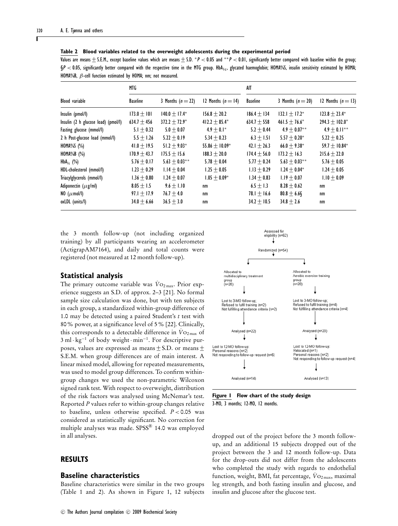|                                     | MTG             |                   |                      | AIT             |                    |                    |  |  |  |
|-------------------------------------|-----------------|-------------------|----------------------|-----------------|--------------------|--------------------|--|--|--|
| <b>Blood</b> variable               | <b>Baseline</b> | 3 Months $(n=22)$ | 12 Months $(n = 14)$ | <b>Baseline</b> | 3 Months $(n=20)$  | 12 Months $(n=13)$ |  |  |  |
| Insulin (pmol/l)                    | $173.0 + 101$   | $140.0 + 17.4*$   | $156.8 + 20.2$       | $186.4 + 134$   | $132.1 + 17.2^*$   | $123.8 + 23.4^*$   |  |  |  |
| Insulin (2 h glucose load) (pmol/l) | $634.7 \pm 456$ | $372.2 + 72.9^*$  | $412.2 + 85.4*$      | $634.7 + 558$   | $461.5 + 76.6*$    | $294.3 + 102.0*$   |  |  |  |
| Fasting glucose (mmol/l)            | $5.1 + 0.32$    | $5.0 + 0.07$      | $4.9 + 0.1*$         | $5.2 + 0.44$    | $4.9 + 0.07**$     | $4.9 + 0.11***$    |  |  |  |
| 2 h Post-glucose load (mmol/l)      | $5.5 + 1.26$    | $5.22 + 0.19$     | $5.34 + 0.23$        | $6.3 + 1.51$    | $5.57 + 0.20*$     | $5.22 + 0.25$      |  |  |  |
| HOMA%S $(\%)$                       | 41.0 $\pm$ 19.5 | $51.2 + 9.03*$    | $55.86 + 10.09*$     | $42.1 + 26.3$   | $66.0 + 9.38*$     | $59.7 + 10.84*$    |  |  |  |
| HOMA%B $(\%)$                       | $170.9 + 43.7$  | $175.5 + 15.6$    | $188.3 + 20.0$       | $174.4 + 56.0$  | $173.2 + 16.3$     | $215.6 + 22.0$     |  |  |  |
| $HbA_{1c}$ (%)                      | $5.76 \pm 0.17$ | $5.63 + 0.03***$  | $5.78 + 0.04$        | $5.77 + 0.24$   | $5.63 \pm 0.03***$ | $5.76 + 0.05$      |  |  |  |
| HDL-cholesterol (mmol/l)            | $1.23 + 0.29$   | $1.14 + 0.04$     | $1.25 + 0.05$        | $1.13 + 0.29$   | $1.24 + 0.04*$     | $1.24 + 0.05$      |  |  |  |
| Triacylglycerols (mmol/l)           | $1.36 + 0.80$   | $1.24 + 0.07$     | $1.05 + 0.09*$       | $1.34 + 0.83$   | $1.19 + 0.07$      | $1.10 + 0.09$      |  |  |  |
| Adiponectin $(\mu$ g/ml)            | $8.05 + 1.5$    | $9.6 + 1.10$      | nm                   | $6.5 + 1.3$     | $8.28 + 0.62$      | nm                 |  |  |  |
| NO $(\mu$ mol/l)                    | $97.1 + 17.9$   | $76.7 + 4.0$      | nm                   | $78.1 + 16.6$   | $80.8 \pm 6.6$     | nm                 |  |  |  |
| oxLDL (units/l)                     | $34.0 + 6.66$   | $36.5 + 3.0$      | nm                   | $34.2 + 10.5$   | $34.8 \pm 2.6$     | nm                 |  |  |  |

**Table 2 Blood variables related to the overweight adolescents during the experimental period**

Values are means  $\pm$  S.E.M., except baseline values which are means  $\pm$  S.D. \*P < 0.05 and \*\*P < 0.01, significantly better compared with baseline within the group;  $\S P < 0.05$ , significantly better compared with the respective time in the MTG group. HbA<sub>1c</sub>, glycated haemoglobin; HOMA%S, insulin sensitivity estimated by HOMA; HOMA%B, β-cell function estimated by HOMA; nm; not measured.

the 3 month follow-up (not including organized training) by all participants wearing an accelerometer (ActigrapAM7164), and daily and total counts were registered (not measured at 12 month follow-up).

#### **Statistical analysis**

The primary outcome variable was  $\overline{V}_{\text{O}_{2\text{max}}}$ . Prior experience suggests an S.D. of approx. 2–3 [21]. No formal sample size calculation was done, but with ten subjects in each group, a standardized within-group difference of 1.0 may be detected using a paired Student's *t* test with 80% power, at a significance level of 5% [22]. Clinically, this corresponds to a detectable difference in  $\dot{V}$ <sup>O2</sup> max of 3 ml · kg<sup>-1</sup> of body weight · min<sup>-1</sup>. For descriptive pur-<br>poses, values are expressed as means  $\pm$  S.D. or means  $\pm$ S.E.M. when group differences are of main interest. A linear mixed model, allowing for repeated measurements, was used to model group differences. To confirm withingroup changes we used the non-parametric Wilcoxon signed rank test. With respect to overweight, distribution of the risk factors was analysed using McNemar's test. Reported *P* values refer to within-group changes relative to baseline, unless otherwise specified. *P* < 0.05 was considered as statistically significant. No correction for multiple analyses was made. SPSS® 14.0 was employed in all analyses.

## **RESULTS**

#### **Baseline characteristics**

Baseline characteristics were similar in the two groups (Table 1 and 2). As shown in Figure 1, 12 subjects



**Figure 1 Flow chart of the study design** 3-MO, 3 months; 12-MO, 12 months.

dropped out of the project before the 3 month followup, and an additional 15 subjects dropped out of the project between the 3 and 12 month follow-up. Data for the drop-outs did not differ from the adolescents who completed the study with regards to endothelial function, weight, BMI, fat percentage,  $\dot{V}$ O<sub>2 max</sub>, maximal leg strength, and both fasting insulin and glucose, and insulin and glucose after the glucose test.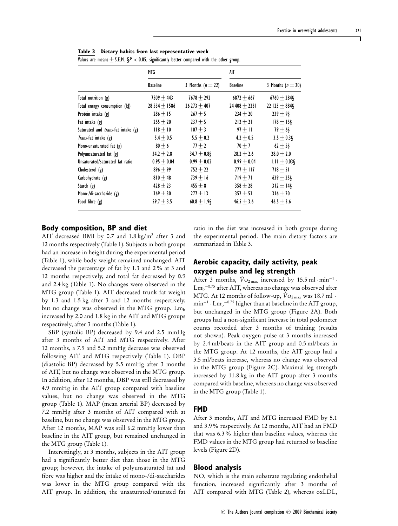|                                           | MTG               |                   | AIT             |                   |
|-------------------------------------------|-------------------|-------------------|-----------------|-------------------|
|                                           | <b>Baseline</b>   | 3 Months $(n=22)$ | <b>Baseline</b> | 3 Months $(n=20)$ |
| Total nutrition $(g)$                     | $7509 + 443$      | $7678 + 292$      | $6872 + 667$    | $6760 \pm 284\S$  |
| Total energy consumption (k)              | 28 534 $\pm$ 1586 | $26273 + 407$     | $24408 + 2231$  | 22 123 $\pm$ 884§ |
| Protein intake (g)                        | $286 \pm 15$      | $267 \pm 5$       | $234 \pm 20$    | $239 + 98$        |
| Fat intake $(g)$                          | $255 \pm 20$      | $237 \pm 5$       | $212 \pm 21$    | $178 \pm 15$      |
| Saturated and <i>trans-fat</i> intake (g) | $118 \pm 10$      | $107 \pm 3$       | $97 + 11$       | $79 \pm 6$        |
| Trans-fat intake (g)                      | $5.4 \pm 0.5$     | $5.5 \pm 0.2$     | $4.2 \pm 0.5$   | $3.5 \pm 0.38$    |
| Mono-unsaturated fat $(g)$                | $80 \pm 6$        | $77 \pm 2$        | $70 \pm 7$      | $62 \pm 5$        |
| Polyunsaturated fat (g)                   | $34.2 \pm 2.8$    | $34.7 \pm 0.8$    | $28.2 \pm 2.6$  | $28.0 \pm 2.0$    |
| Unsaturated/saturated fat ratio           | $0.95 \pm 0.04$   | $0.99 \pm 0.02$   | $0.99 \pm 0.04$ | $1.11 \pm 0.03$ § |
| Cholesterol (g)                           | $896 + 99$        | $752 \pm 22$      | 777 $\pm$ 117   | $718 \pm 51$      |
| Carbohydrate (g)                          | $810 + 48$        | $739 \pm 16$      | $719 + 71$      | $639 \pm 258$     |
| Starch $(g)$                              | $428 \pm 23$      | $455 \pm 8$       | $358 \pm 28$    | $312 \pm 14$ §    |
| Mono-/di-saccharide (g)                   | $369 \pm 30$      | $277 \pm 13$      | $352 \pm 53$    | $316 \pm 20$      |
| Food fibre (g)                            | $59.7 \pm 3.5$    | $60.8 \pm 1.9$    | $46.5 \pm 3.6$  | $46.5 \pm 3.6$    |

**Table 3 Dietary habits from last representative week**

 $\overline{V_2}$ lues are means  $\pm$  S.E.M.  $\mathcal{SD}$   $\geq$  0.05, significantly better compared with the other group.

#### **Body composition, BP and diet**

AIT decreased BMI by 0.7 and 1.8 kg/m2 after 3 and 12 months respectively (Table 1). Subjects in both groups had an increase in height during the experimental period (Table 1), while body weight remained unchanged. AIT decreased the percentage of fat by 1.3 and 2% at 3 and 12 months respectively, and total fat decreased by 0.9 and 2.4 kg (Table 1). No changes were observed in the MTG group (Table 1). AIT decreased trunk fat weight by 1.3 and 1.5 kg after 3 and 12 months respectively, but no change was observed in the MTG group.  $Lm_b$ increased by 2.0 and 1.8 kg in the AIT and MTG groups respectively, after 3 months (Table 1).

SBP (systolic BP) decreased by 9.4 and 2.5 mmHg after 3 months of AIT and MTG respectively. After 12 months, a 7.9 and 5.2 mmHg decrease was observed following AIT and MTG respectively (Table 1). DBP (diastolic BP) decreased by 5.5 mmHg after 3 months of AIT, but no change was observed in the MTG group. In addition, after 12 months, DBP was still decreased by 4.9 mmHg in the AIT group compared with baseline values, but no change was observed in the MTG group (Table 1). MAP (mean arterial BP) decreased by 7.2 mmHg after 3 months of AIT compared with at baseline, but no change was observed in the MTG group. After 12 months, MAP was still 6.2 mmHg lower than baseline in the AIT group, but remained unchanged in the MTG group (Table 1).

Interestingly, at 3 months, subjects in the AIT group had a significantly better diet than those in the MTG group; however, the intake of polyunsaturated fat and fibre was higher and the intake of mono-/di-saccharides was lower in the MTG group compared with the AIT group. In addition, the unsaturated/saturated fat ratio in the diet was increased in both groups during the experimental period. The main dietary factors are summarized in Table 3.

## **Aerobic capacity, daily activity, peak oxygen pulse and leg strength**

After 3 months,  $\dot{V}$ O<sub>2 max</sub> increased by 15.5 ml·min<sup>-1</sup> ·  $\mathrm{Lm_b}^{-0.75}$  after AIT, whereas no change was observed after MTG. At 12 months of follow-up,  $\dot{V}_{\text{O}_{2\text{max}}}$  was 18.7 ml  $\cdot$  $\text{min}^{-1} \cdot \text{Lm}_{\text{b}}^{-0.75}$  higher than at baseline in the AIT group, but unchanged in the MTG group (Figure 2A). Both groups had a non-significant increase in total pedometer counts recorded after 3 months of training (results not shown). Peak oxygen pulse at 3 months increased by 2.4 ml/beats in the AIT group and 0.5 ml/beats in the MTG group. At 12 months, the AIT group had a 3.5 ml/beats increase, whereas no change was observed in the MTG group (Figure 2C). Maximal leg strength increased by 11.8 kg in the AIT group after 3 months compared with baseline, whereas no change was observed in the MTG group (Table 1).

#### **FMD**

After 3 months, AIT and MTG increased FMD by 5.1 and 3.9% respectively. At 12 months, AIT had an FMD that was 6.3% higher than baseline values, whereas the FMD values in the MTG group had returned to baseline levels (Figure 2D).

#### **Blood analysis**

NO, which is the main substrate regulating endothelial function, increased significantly after 3 months of AIT compared with MTG (Table 2), whereas oxLDL,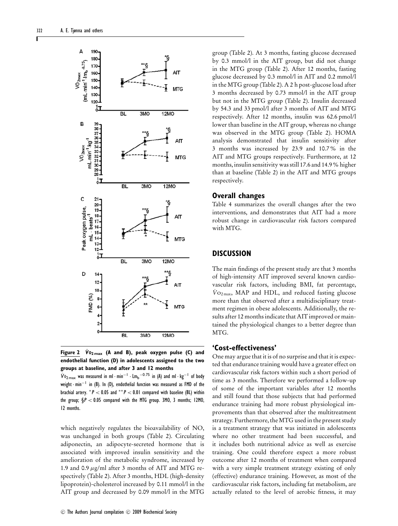

Figure 2  $\dot{V}$ <sub>02 max</sub> (A and B), peak oxygen pulse (C) and **endothelial function (D) in adolescents assigned to the two groups at baseline, and after 3 and 12 months**

 $\dot{V}$ <sub>02 max</sub> was measured in ml·min<sup>-1</sup>·Lm<sub>b</sub><sup>-0.75</sup> in (A) and ml·kg<sup>-1</sup> of body weight · min−<sup>1</sup> in (B). In (D), endothelial function was measured as FMD of the brachial artery.  $*P < 0.05$  and  $**P < 0.01$  compared with baseline (BL) within the group;  $S_P < 0.05$  compared with the MTG group. 3MO, 3 months; 12MO, 12 months.

which negatively regulates the bioavailability of NO, was unchanged in both groups (Table 2). Circulating adiponectin, an adipocyte-secreted hormone that is associated with improved insulin sensitivity and the amelioration of the metabolic syndrome, increased by 1.9 and 0.9  $\mu$ g/ml after 3 months of AIT and MTG respectively (Table 2). After 3 months, HDL (high-density lipoprotein)-cholesterol increased by 0.11 mmol/l in the AIT group and decreased by 0.09 mmol/l in the MTG

group (Table 2). At 3 months, fasting glucose decreased by 0.3 mmol/l in the AIT group, but did not change in the MTG group (Table 2). After 12 months, fasting glucose decreased by 0.3 mmol/l in AIT and 0.2 mmol/l in the MTG group (Table 2). A 2 h post-glucose load after 3 months decreased by 0.73 mmol/l in the AIT group but not in the MTG group (Table 2). Insulin decreased by 54.3 and 33 pmol/l after 3 months of AIT and MTG respectively. After 12 months, insulin was 62.6 pmol/l lower than baseline in the AIT group, whereas no change was observed in the MTG group (Table 2). HOMA analysis demonstrated that insulin sensitivity after 3 months was increased by 23.9 and 10.7% in the AIT and MTG groups respectively. Furthermore, at 12 months, insulin sensitivity was still 17.6 and 14.9% higher than at baseline (Table 2) in the AIT and MTG groups respectively.

#### **Overall changes**

Table 4 summarizes the overall changes after the two interventions, and demonstrates that AIT had a more robust change in cardiovascular risk factors compared with MTG.

# **DISCUSSION**

The main findings of the present study are that 3 months of high-intensity AIT improved several known cardiovascular risk factors, including BMI, fat percentage,  $\dot{V}_{\text{O}_{2\text{max}}}$ , MAP and HDL, and reduced fasting glucose more than that observed after a multidisciplinary treatment regimen in obese adolescents. Additionally, the results after 12 months indicate that AIT improved or maintained the physiological changes to a better degree than MTG.

#### **'Cost-effectiveness'**

One may argue that it is of no surprise and that it is expected that endurance training would have a greater effect on cardiovascular risk factors within such a short period of time as 3 months. Therefore we performed a follow-up of some of the important variables after 12 months and still found that those subjects that had performed endurance training had more robust physiological improvements than that observed after the multitreatment strategy. Furthermore, the MTG used in the present study is a treatment strategy that was initiated in adolescents where no other treatment had been successful, and it includes both nutritional advice as well as exercise training. One could therefore expect a more robust outcome after 12 months of treatment when compared with a very simple treatment strategy existing of only (effective) endurance training. However, as most of the cardiovascular risk factors, including fat metabolism, are actually related to the level of aerobic fitness, it may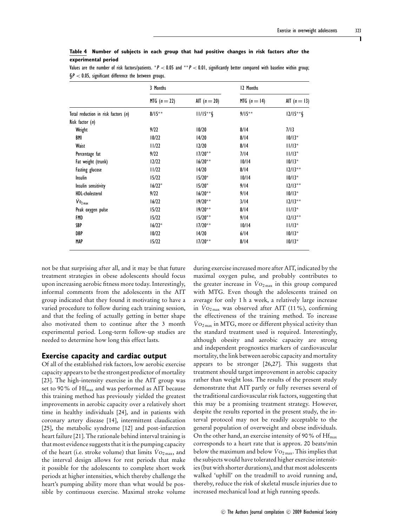| Table 4 Number of subjects in each group that had positive changes in risk factors after the |  |  |  |  |  |  |  |
|----------------------------------------------------------------------------------------------|--|--|--|--|--|--|--|
| experimental period                                                                          |  |  |  |  |  |  |  |

Values are the number of risk factors/patients. \* $P < 0.05$  and \*\* $P < 0.01$ , significantly better compared with baseline within group;  $\S P < 0.05$ , significant difference the between groups.

|                                       | 3 Months       |                | 12 Months      |                |  |  |
|---------------------------------------|----------------|----------------|----------------|----------------|--|--|
|                                       | MTG $(n = 22)$ | AIT $(n = 20)$ | MTG $(n = 14)$ | AIT $(n = 13)$ |  |  |
| Total reduction in risk factors $(n)$ | $8/15***$      | $11/15**$ §    | $9/15***$      | $12/15**$ §    |  |  |
| Risk factor $(n)$                     |                |                |                |                |  |  |
| Weight                                | 9/22           | 10/20          | 8/14           | 7/13           |  |  |
| BMI                                   | 10/22          | 14/20          | 8/14           | $10/13*$       |  |  |
| Waist                                 | 11/22          | 12/20          | 8/14           | $11/13*$       |  |  |
| Percentage fat                        | 9/22           | $17/20**$      | 7/14           | $11/13*$       |  |  |
| Fat weight (trunk)                    | 12/22          | $16/20**$      | 10/14          | $10/13*$       |  |  |
| <b>Fasting glucose</b>                | 11/22          | 14/20          | 8/14           | $12/13**$      |  |  |
| <b>Insulin</b>                        | 15/22          | $15/20*$       | 10/14          | $10/13*$       |  |  |
| Insulin sensitivity                   | $16/22*$       | $15/20*$       | 9/14           | $12/13**$      |  |  |
| <b>HDL-cholesterol</b>                | 9/22           | $16/20**$      | 9/14           | $10/13*$       |  |  |
| $\dot{V}$ 0 <sub>2 max</sub>          | 16/22          | $19/20**$      | 3/14           | $12/13**$      |  |  |
| Peak oxygen pulse                     | 15/22          | $19/20**$      | 8/14           | $11/13*$       |  |  |
| FMD                                   | 15/22          | $15/20**$      | 9/14           | $12/13**$      |  |  |
| SBP                                   | $16/22*$       | $17/20**$      | 10/14          | $11/13*$       |  |  |
| DBP                                   | 10/22          | 14/20          | 6/14           | $10/13*$       |  |  |
| <b>MAP</b>                            | 15/22          | $17/20**$      | 8/14           | $10/13*$       |  |  |

not be that surprising after all, and it may be that future treatment strategies in obese adolescents should focus upon increasing aerobic fitness more today. Interestingly, informal comments from the adolescents in the AIT group indicated that they found it motivating to have a varied procedure to follow during each training session, and that the feeling of actually getting in better shape also motivated them to continue after the 3 month

#### **Exercise capacity and cardiac output**

needed to determine how long this effect lasts.

experimental period. Long-term follow-up studies are

Of all of the established risk factors, low aerobic exercise capacity appears to be the strongest predictor of mortality [23]. The high-intensity exercise in the AIT group was set to 90% of  $\rm{Hf_{max}}$  and was performed as AIT because this training method has previously yielded the greatest improvements in aerobic capacity over a relatively short time in healthy individuals [24], and in patients with coronary artery disease [14], intermittent claudication [25], the metabolic syndrome [12] and post-infarction heart failure [21]. The rationale behind interval training is that most evidence suggests that it is the pumping capacity of the heart (i.e. stroke volume) that limits  $\dot{V}$ <sub>O2 max</sub>, and the interval design allows for rest periods that make it possible for the adolescents to complete short work periods at higher intensities, which thereby challenge the heart's pumping ability more than what would be possible by continuous exercise. Maximal stroke volume during exercise increased more after AIT, indicated by the maximal oxygen pulse, and probably contributes to the greater increase in  $Vo_{2\max}$  in this group compared with MTG. Even though the adolescents trained on average for only 1 h a week, a relatively large increase in  $\dot{V}$ <sub>O2 max</sub> was observed after AIT (11%), confirming the effectiveness of the training method. To increase  $\rm\dot{V}o_{2\,max}$  in MTG, more or different physical activity than the standard treatment used is required. Interestingly, although obesity and aerobic capacity are strong and independent prognostics markers of cardiovascular mortality, the link between aerobic capacity and mortality appears to be stronger [26,27]. This suggests that treatment should target improvement in aerobic capacity rather than weight loss. The results of the present study demonstrate that AIT partly or fully reverses several of the traditional cardiovascular risk factors, suggesting that this may be a promising treatment strategy. However, despite the results reported in the present study, the interval protocol may not be readily acceptable to the general population of overweight and obese individuals. On the other hand, an exercise intensity of 90 % of  $\rm{Hf_{max}}$ corresponds to a heart rate that is approx. 20 beats/min below the maximum and below  $\dot{V}_{\text{O}_{2\text{ max}}}$ . This implies that the subjects would have tolerated higher exercise intensities (but with shorter durations), and that most adolescents walked 'uphill' on the treadmill to avoid running and, thereby, reduce the risk of skeletal muscle injuries due to increased mechanical load at high running speeds.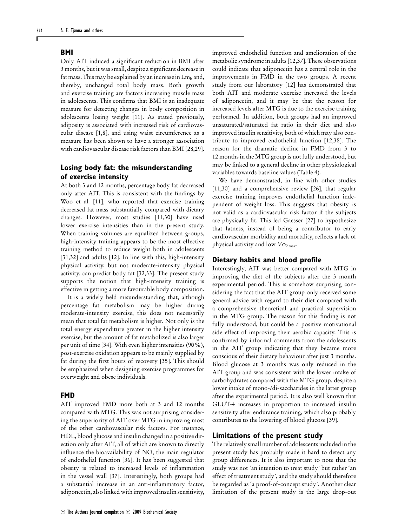#### **BMI**

Only AIT induced a significant reduction in BMI after 3 months, but it was small, despite a significant decrease in fat mass. This may be explained by an increase in  $Lm<sub>b</sub>$  and, thereby, unchanged total body mass. Both growth and exercise training are factors increasing muscle mass in adolescents. This confirms that BMI is an inadequate measure for detecting changes in body composition in adolescents losing weight [11]. As stated previously, adiposity is associated with increased risk of cardiovascular disease [1,8], and using waist circumference as a measure has been shown to have a stronger association with cardiovascular disease risk factors than BMI [28,29].

# **Losing body fat: the misunderstanding of exercise intensity**

At both 3 and 12 months, percentage body fat decreased only after AIT. This is consistent with the findings by Woo et al. [11], who reported that exercise training decreased fat mass substantially compared with dietary changes. However, most studies [11,30] have used lower exercise intensities than in the present study. When training volumes are equalized between groups, high-intensity training appears to be the most effective training method to reduce weight both in adolescents [31,32] and adults [12]. In line with this, high-intensity physical activity, but not moderate-intensity physical activity, can predict body fat [32,33]. The present study supports the notion that high-intensity training is effective in getting a more favourable body composition.

It is a widely held misunderstanding that, although percentage fat metabolism may be higher during moderate-intensity exercise, this does not necessarily mean that total fat metabolism is higher. Not only is the total energy expenditure greater in the higher intensity exercise, but the amount of fat metabolized is also larger per unit of time [34]. With even higher intensities (90%), post-exercise oxidation appears to be mainly supplied by fat during the first hours of recovery [35]. This should be emphasized when designing exercise programmes for overweight and obese individuals.

#### **FMD**

AIT improved FMD more both at 3 and 12 months compared with MTG. This was not surprising considering the superiority of AIT over MTG in improving most of the other cardiovascular risk factors. For instance, HDL, blood glucose and insulin changed in a positive direction only after AIT, all of which are known to directly influence the bioavailability of NO, the main regulator of endothelial function [36]. It has been suggested that obesity is related to increased levels of inflammation in the vessel wall [37]. Interestingly, both groups had a substantial increase in an anti-inflammatory factor, adiponectin, also linked with improved insulin sensitivity,

improved endothelial function and amelioration of the metabolic syndrome in adults [12,37]. These observations could indicate that adiponectin has a central role in the improvements in FMD in the two groups. A recent study from our laboratory [12] has demonstrated that both AIT and moderate exercise increased the levels of adiponectin, and it may be that the reason for increased levels after MTG is due to the exercise training performed. In addition, both groups had an improved unsaturated/saturated fat ratio in their diet and also improved insulin sensitivity, both of which may also contribute to improved endothelial function [12,38]. The reason for the dramatic decline in FMD from 3 to 12 months in the MTG group is not fully understood, but may be linked to a general decline in other physiological variables towards baseline values (Table 4).

We have demonstrated, in line with other studies [11,30] and a comprehensive review [26], that regular exercise training improves endothelial function independent of weight loss. This suggests that obesity is not valid as a cardiovascular risk factor if the subjects are physically fit. This led Gaesser [27] to hypothesize that fatness, instead of being a contributor to early cardiovascular morbidity and mortality, reflects a lack of physical activity and low  $\dot{V}$ <sup>O</sup><sub>2 max</sub>.

#### **Dietary habits and blood profile**

Interestingly, AIT was better compared with MTG in improving the diet of the subjects after the 3 month experimental period. This is somehow surprising considering the fact that the AIT group only received some general advice with regard to their diet compared with a comprehensive theoretical and practical supervision in the MTG group. The reason for this finding is not fully understood, but could be a positive motivational side effect of improving their aerobic capacity. This is confirmed by informal comments from the adolescents in the AIT group indicating that they became more conscious of their dietary behaviour after just 3 months. Blood glucose at 3 months was only reduced in the AIT group and was consistent with the lower intake of carbohydrates compared with the MTG group, despite a lower intake of mono-/di-saccharides in the latter group after the experimental period. It is also well known that GLUT-4 increases in proportion to increased insulin sensitivity after endurance training, which also probably contributes to the lowering of blood glucose [39].

#### **Limitations of the present study**

The relatively small number of adolescents included in the present study has probably made it hard to detect any group differences. It is also important to note that the study was not 'an intention to treat study' but rather 'an effect of treatment study', and the study should therefore be regarded as 'a proof-of-concept study'. Another clear limitation of the present study is the large drop-out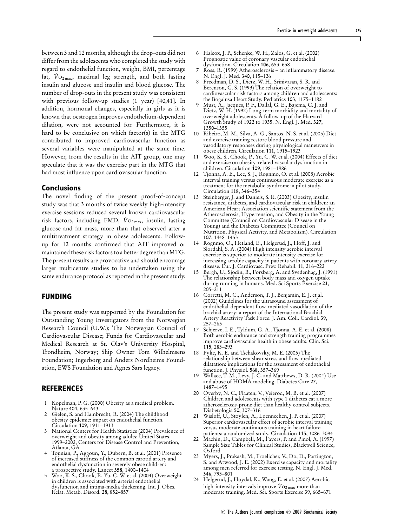between 3 and 12 months, although the drop-outs did not differ from the adolescents who completed the study with regard to endothelial function, weight, BMI, percentage fat,  $\dot{V}$ O<sub>2 max</sub>, maximal leg strength, and both fasting insulin and glucose and insulin and blood glucose. The number of drop-outs in the present study was consistent with previous follow-up studies (1 year) [40,41]. In addition, hormonal changes, especially in girls as it is known that oestrogen improves endothelium-dependent dilation, were not accounted for. Furthermore, it is hard to be conclusive on which factor(s) in the MTG contributed to improved cardiovascular function as several variables were manipulated at the same time. However, from the results in the AIT group, one may speculate that it was the exercise part in the MTG that had most influence upon cardiovascular function.

#### **Conclusions**

The novel finding of the present proof-of-concept study was that 3 months of twice weekly high-intensity exercise sessions reduced several known cardiovascular risk factors, including FMD,  $\dot{V}$ O<sub>2 max</sub>, insulin, fasting glucose and fat mass, more than that observed after a multitreatment strategy in obese adolescents. Followup for 12 months confirmed that AIT improved or maintained these risk factors to a better degree than MTG. The present results are provocative and should encourage larger multicentre studies to be undertaken using the same endurance protocol as reported in the present study.

## **FUNDING**

The present study was supported by the Foundation for Outstanding Young Investigators from the Norwegian Research Council (U.W.); The Norwegian Council of Cardiovascular Disease; Funds for Cardiovascular and Medical Research at St. Olav's University Hospital, Trondheim, Norway; Ship Owner Tom Wilhelmsens Foundation; Ingerborg and Anders Nordheims Foundation, EWS Foundation and Agnes Sars legacy.

## **REFERENCES**

- 1 Kopelman, P. G. (2000) Obesity as a medical problem. Nature **404**, 635–643
- 2 Gielen, S. and Hambrecht, R. (2004) The childhood obesity epidemic: impact on endothelial function. Circulation **109**, 1911–1913
- 3 National Centers for Health Statistics (2004) Prevalence of overweight and obesity among adults: United States, 1999–2002, Centers for Disease Control and Prevention, Atlanta, GA
- 4 Tounian, P., Aggoun, Y., Dubern, B. et al. (2001) Presence of increased stiffness of the common carotid artery and endothelial dysfunction in severely obese children: a prospective study. Lancet **358**, 1400–1404
- 5 Woo, K. S., Chook, P., Yu, C. W. et al. (2004) Overweight in children is associated with arterial endothelial dysfunction and intima-media thickening. Int. J. Obes. Relat. Metab. Disord. **28**, 852–857
- 6 Halcox, J. P., Schenke, W. H., Zalos, G. et al. (2002) Prognostic value of coronary vascular endothelial dysfunction. Circulation **106**, 653–658
- 7 Ross, R. (1999) Atherosclerosis an inflammatory disease. N. Engl. J. Med. **340**, 115–126
- 8 Freedman, D. S., Dietz, W. H., Srinivasan, S. R. and Berenson, G. S. (1999) The relation of overweight to cardiovascular risk factors among children and adolescents: the Bogalusa Heart Study. Pediatrics **103**, 1175–1182
- 9 Must, A., Jacques, P. F., Dallal, G. E., Bajema, C. J. and Dietz, W. H. (1992) Long-term morbidity and mortality of overweight adolescents. A follow-up of the Harvard Growth Study of 1922 to 1935. N. Engl. J. Med. **327**, 1350–1355
- 10 Ribeiro, M. M., Silva, A. G., Santos, N. S. et al. (2005) Diet and exercise training restore blood pressure and vasodilatory responses during physiological maneuvers in obese children. Circulation **111**, 1915–1923
- 11 Woo, K. S., Chook, P., Yu, C. W. et al. (2004) Effects of diet and exercise on obesity-related vascular dysfunction in children. Circulation **109**, 1981–1986
- 12 Tjønna, A. E., Lee, S. J., Rognmo, O. et al. (2008) Aerobic interval training versus continuous moderate exercise as a treatment for the metabolic syndrome: a pilot study. Circulation **118**, 346–354
- 13 Steinberger, J. and Daniels, S. R. (2003) Obesity, insulin resistance, diabetes, and cardiovascular risk in children: an American Heart Association scientific statement from the Atherosclerosis, Hypertension, and Obesity in the Young Committee (Council on Cardiovascular Disease in the Young) and the Diabetes Committee (Council on Nutrition, Physical Activity, and Metabolism). Circulation **107**, 1448–1453
- 14 Rognmo, O., Hetland, E., Helgerud, J., Hoff, J. and Slordahl, S. A. (2004) High intensity aerobic interval exercise is superior to moderate intensity exercise for increasing aerobic capacity in patients with coronary artery disease. Eur. J. Cardiovasc. Prev. Rehabil. **11**, 216–222
- Bergh, U., Sjodin, B., Forsberg, A. and Svedenhag, J. (1991) The relationship between body mass and oxygen uptake during running in humans. Med. Sci Sports Exercise **23**, 205–211
- 16 Corretti, M. C., Anderson, T. J., Benjamin, E. J. et al. (2002) Guidelines for the ultrasound assessment of endothelial-dependent flow-mediated vasodilation of the brachial artery: a report of the International Brachial Artery Reactivity Task Force. J. Am. Coll. Cardiol. **39**, 257–265
- 17 Schjerve, I. E., Tyldum, G. A., Tjønna, A. E. et al. (2008) Both aerobic endurance and strength training programmes improve cardiovascular health in obese adults. Clin. Sci. **115**, 283–293
- 18 Pyke, K. E. and Tschakovsky, M. E. (2005) The relationship between shear stress and flow-mediated dilatation: implications for the assessment of endothelial function. J. Physiol. **568**, 357–369
- 19 Wallace, T. M., Levy, J. C. and Matthews, D. R. (2004) Use and abuse of HOMA modeling. Diabetes Care **27**, 1487–1495
- 20 Overby, N. C., Flaaten, V., Veierod, M. B. et al. (2007) Children and adolescents with type 1 diabetes eat a more atherosclerosis-prone diet than healthy control subjects. Diabetologia **50**, 307–316
- 21 Wisløff, U., Stoylen, A., Loennechen, J. P. et al. (2007) Superior cardiovascular effect of aerobic interval training versus moderate continuous training in heart failure patients: a randomized study. Circulation **115**, 3086–3094
- 22 Machin, D., Campbell, M., Fayers, P. and Pinol, A. (1997) Sample Size Tables for Clinical Studies, Blackwell Science, Oxford
- 23 Myers, J., Prakash, M., Froelicher, V., Do, D., Partington, S. and Atwood, J. E. (2002) Exercise capacity and mortality among men referred for exercise testing. N. Engl. J. Med. **346**, 793–801
- 24 Helgerud, J., Hoydal, K., Wang, E. et al. (2007) Aerobic high-intensity intervals improve  $\dot{V}$ O<sub>2 max</sub> more than moderate training. Med. Sci. Sports Exercise **39**, 665–671